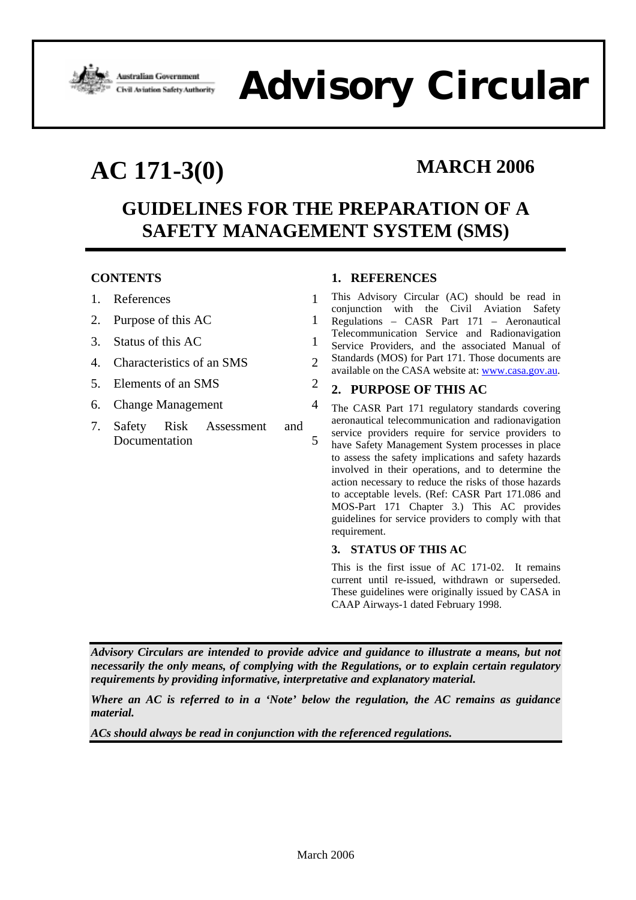

# **Advisory Circular**

## **AC 171-3(0) MARCH 2006**

### **GUIDELINES FOR THE PREPARATION OF A SAFETY MANAGEMENT SYSTEM (SMS)**

### **CONTENTS**

| 1. References |  |
|---------------|--|
|               |  |

- 2. Purpose of this AC 1
- 3. Status of this AC 1
- 4. Characteristics of an SMS 2
- 5. Elements of an SMS 2
- 6. Change Management 4
- 7. Safety Risk Assessment and Documentation 5

### **1. REFERENCES**

This Advisory Circular (AC) should be read in conjunction with the Civil Aviation Safety Regulations – CASR Part 171 – Aeronautical Telecommunication Service and Radionavigation Service Providers, and the associated Manual of Standards (MOS) for Part 171. Those documents are available on the CASA website at: www.casa.gov.au.

#### **2. PURPOSE OF THIS AC**

The CASR Part 171 regulatory standards covering aeronautical telecommunication and radionavigation service providers require for service providers to have Safety Management System processes in place to assess the safety implications and safety hazards involved in their operations, and to determine the action necessary to reduce the risks of those hazards to acceptable levels. (Ref: CASR Part 171.086 and MOS-Part 171 Chapter 3.) This AC provides guidelines for service providers to comply with that requirement.

#### **3. STATUS OF THIS AC**

This is the first issue of AC 171-02. It remains current until re-issued, withdrawn or superseded. These guidelines were originally issued by CASA in CAAP Airways-1 dated February 1998.

*Advisory Circulars are intended to provide advice and guidance to illustrate a means, but not necessarily the only means, of complying with the Regulations, or to explain certain regulatory requirements by providing informative, interpretative and explanatory material.* 

*Where an AC is referred to in a 'Note' below the regulation, the AC remains as guidance material.* 

*ACs should always be read in conjunction with the referenced regulations.*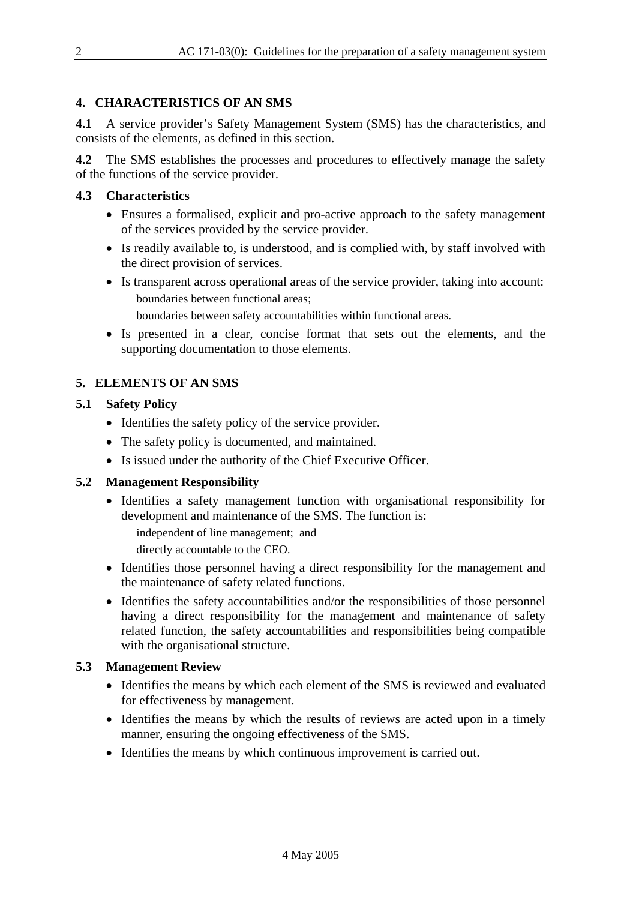#### **4. CHARACTERISTICS OF AN SMS**

**4.1** A service provider's Safety Management System (SMS) has the characteristics, and consists of the elements, as defined in this section.

**4.2** The SMS establishes the processes and procedures to effectively manage the safety of the functions of the service provider.

#### **4.3 Characteristics**

- Ensures a formalised, explicit and pro-active approach to the safety management of the services provided by the service provider.
- Is readily available to, is understood, and is complied with, by staff involved with the direct provision of services.
- Is transparent across operational areas of the service provider, taking into account: boundaries between functional areas;
	- boundaries between safety accountabilities within functional areas.
- Is presented in a clear, concise format that sets out the elements, and the supporting documentation to those elements.

#### **5. ELEMENTS OF AN SMS**

#### **5.1 Safety Policy**

- Identifies the safety policy of the service provider.
- The safety policy is documented, and maintained.
- Is issued under the authority of the Chief Executive Officer.

#### **5.2 Management Responsibility**

• Identifies a safety management function with organisational responsibility for development and maintenance of the SMS. The function is:

independent of line management; and directly accountable to the CEO.

- Identifies those personnel having a direct responsibility for the management and the maintenance of safety related functions.
- Identifies the safety accountabilities and/or the responsibilities of those personnel having a direct responsibility for the management and maintenance of safety related function, the safety accountabilities and responsibilities being compatible with the organisational structure.

#### **5.3 Management Review**

- Identifies the means by which each element of the SMS is reviewed and evaluated for effectiveness by management.
- Identifies the means by which the results of reviews are acted upon in a timely manner, ensuring the ongoing effectiveness of the SMS.
- Identifies the means by which continuous improvement is carried out.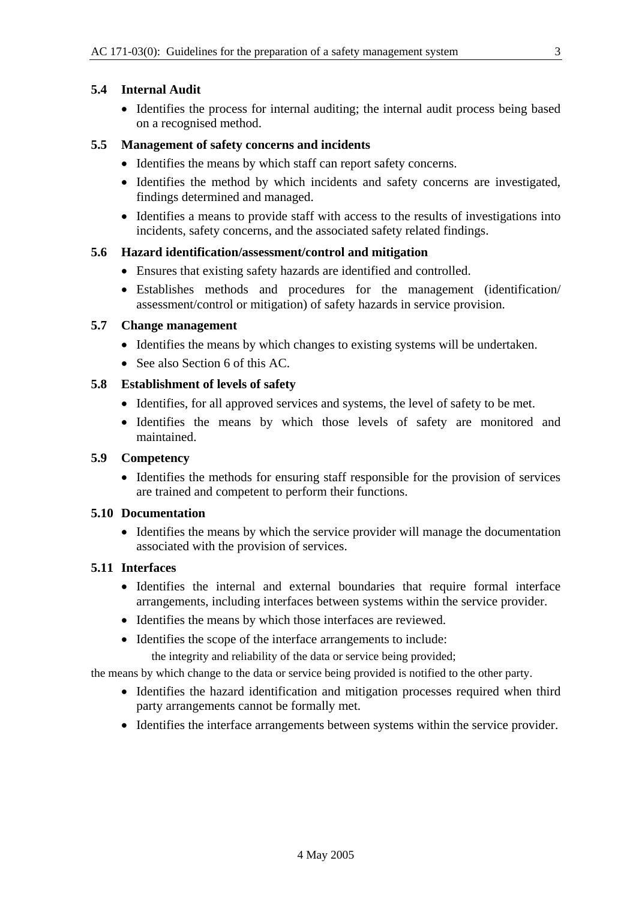#### **5.4 Internal Audit**

• Identifies the process for internal auditing; the internal audit process being based on a recognised method.

#### **5.5 Management of safety concerns and incidents**

- Identifies the means by which staff can report safety concerns.
- Identifies the method by which incidents and safety concerns are investigated, findings determined and managed.
- Identifies a means to provide staff with access to the results of investigations into incidents, safety concerns, and the associated safety related findings.

#### **5.6 Hazard identification/assessment/control and mitigation**

- Ensures that existing safety hazards are identified and controlled.
- Establishes methods and procedures for the management (identification/ assessment/control or mitigation) of safety hazards in service provision.

#### **5.7 Change management**

- Identifies the means by which changes to existing systems will be undertaken.
- See also Section 6 of this AC.

#### **5.8 Establishment of levels of safety**

- Identifies, for all approved services and systems, the level of safety to be met.
- Identifies the means by which those levels of safety are monitored and maintained.

#### **5.9 Competency**

• Identifies the methods for ensuring staff responsible for the provision of services are trained and competent to perform their functions.

#### **5.10 Documentation**

• Identifies the means by which the service provider will manage the documentation associated with the provision of services.

#### **5.11 Interfaces**

- Identifies the internal and external boundaries that require formal interface arrangements, including interfaces between systems within the service provider.
- Identifies the means by which those interfaces are reviewed.
- Identifies the scope of the interface arrangements to include:

the integrity and reliability of the data or service being provided;

the means by which change to the data or service being provided is notified to the other party.

- Identifies the hazard identification and mitigation processes required when third party arrangements cannot be formally met.
- Identifies the interface arrangements between systems within the service provider.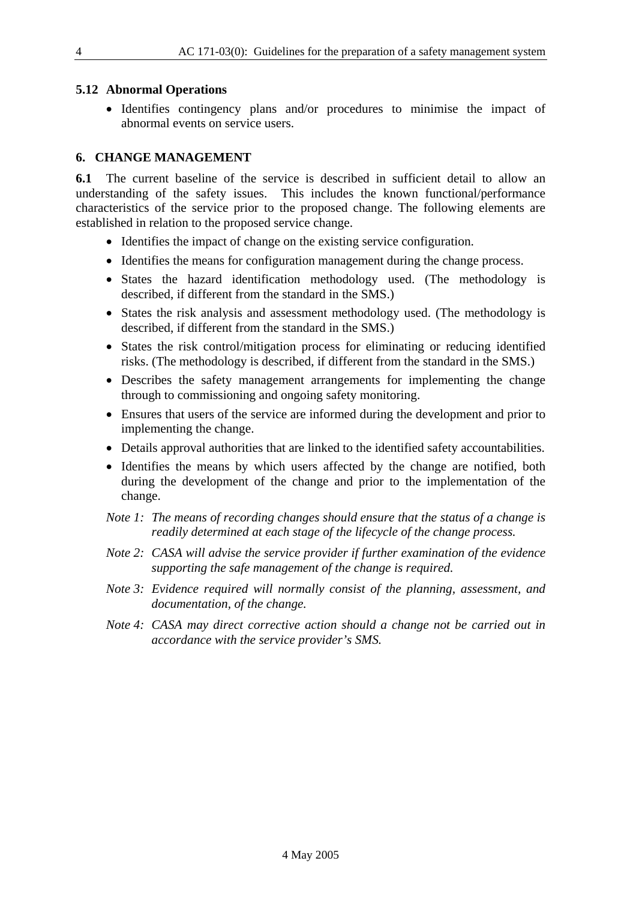#### **5.12 Abnormal Operations**

• Identifies contingency plans and/or procedures to minimise the impact of abnormal events on service users.

#### **6. CHANGE MANAGEMENT**

**6.1** The current baseline of the service is described in sufficient detail to allow an understanding of the safety issues. This includes the known functional/performance characteristics of the service prior to the proposed change. The following elements are established in relation to the proposed service change.

- Identifies the impact of change on the existing service configuration.
- Identifies the means for configuration management during the change process.
- States the hazard identification methodology used. (The methodology is described, if different from the standard in the SMS.)
- States the risk analysis and assessment methodology used. (The methodology is described, if different from the standard in the SMS.)
- States the risk control/mitigation process for eliminating or reducing identified risks. (The methodology is described, if different from the standard in the SMS.)
- Describes the safety management arrangements for implementing the change through to commissioning and ongoing safety monitoring.
- Ensures that users of the service are informed during the development and prior to implementing the change.
- Details approval authorities that are linked to the identified safety accountabilities.
- Identifies the means by which users affected by the change are notified, both during the development of the change and prior to the implementation of the change.
- *Note 1: The means of recording changes should ensure that the status of a change is readily determined at each stage of the lifecycle of the change process.*
- *Note 2: CASA will advise the service provider if further examination of the evidence supporting the safe management of the change is required.*
- *Note 3: Evidence required will normally consist of the planning, assessment, and documentation, of the change.*
- *Note 4: CASA may direct corrective action should a change not be carried out in accordance with the service provider's SMS.*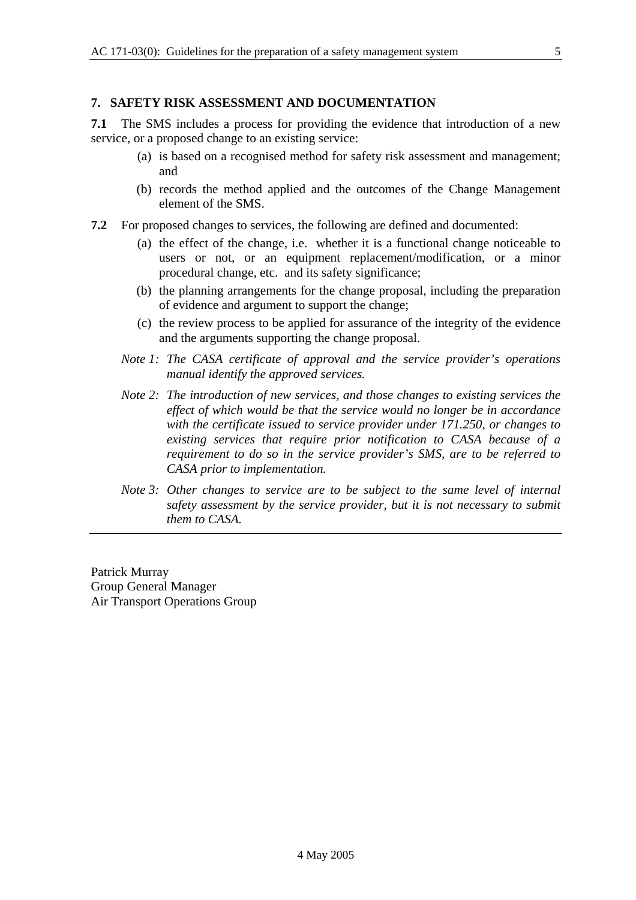#### **7. SAFETY RISK ASSESSMENT AND DOCUMENTATION**

**7.1** The SMS includes a process for providing the evidence that introduction of a new service, or a proposed change to an existing service:

- (a) is based on a recognised method for safety risk assessment and management; and
- (b) records the method applied and the outcomes of the Change Management element of the SMS.
- **7.2** For proposed changes to services, the following are defined and documented:
	- (a) the effect of the change, i.e. whether it is a functional change noticeable to users or not, or an equipment replacement/modification, or a minor procedural change, etc. and its safety significance;
	- (b) the planning arrangements for the change proposal, including the preparation of evidence and argument to support the change;
	- (c) the review process to be applied for assurance of the integrity of the evidence and the arguments supporting the change proposal.
	- *Note 1: The CASA certificate of approval and the service provider's operations manual identify the approved services.*
	- *Note 2: The introduction of new services, and those changes to existing services the effect of which would be that the service would no longer be in accordance with the certificate issued to service provider under 171.250, or changes to existing services that require prior notification to CASA because of a requirement to do so in the service provider's SMS, are to be referred to CASA prior to implementation.*
	- *Note 3: Other changes to service are to be subject to the same level of internal safety assessment by the service provider, but it is not necessary to submit them to CASA.*

Patrick Murray Group General Manager Air Transport Operations Group